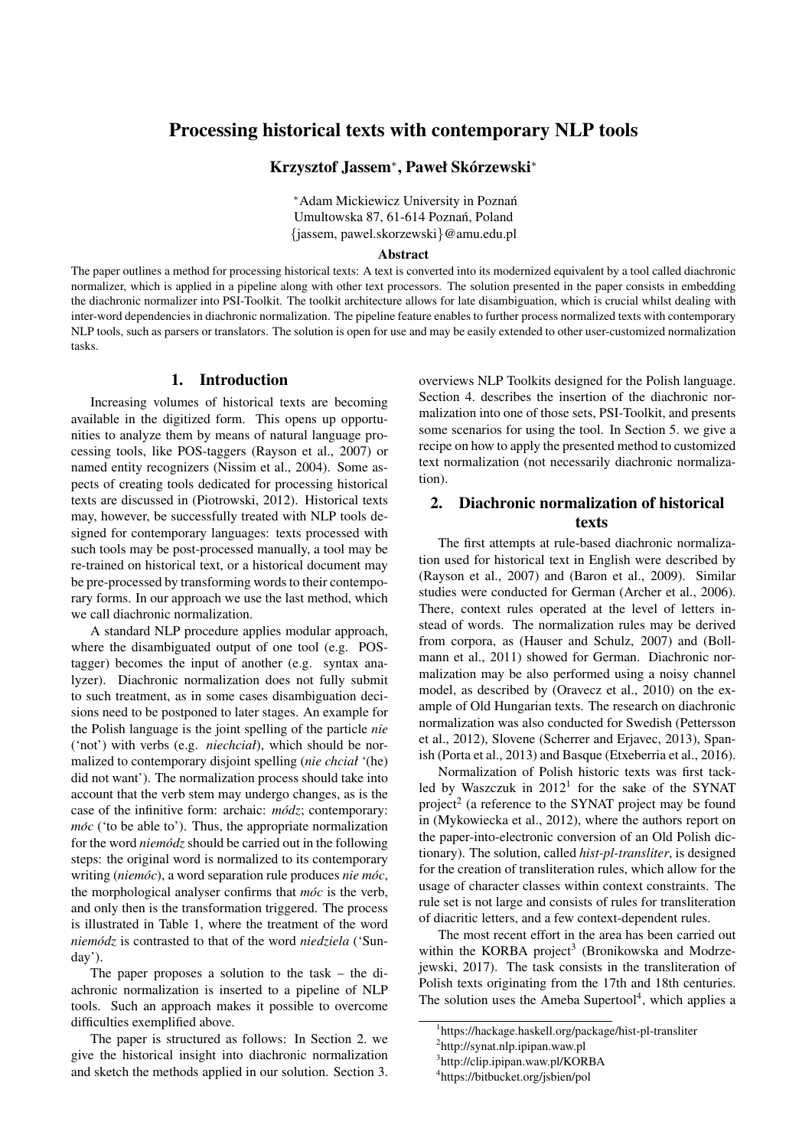# Processing historical texts with contemporary NLP tools

Krzysztof Jassem<sup>∗</sup>, Paweł Skórzewski<sup>\*</sup>

<sup>∗</sup>Adam Mickiewicz University in Poznan´ Umultowska 87, 61-614 Poznań, Poland {jassem, pawel.skorzewski}@amu.edu.pl

#### Abstract

The paper outlines a method for processing historical texts: A text is converted into its modernized equivalent by a tool called diachronic normalizer, which is applied in a pipeline along with other text processors. The solution presented in the paper consists in embedding the diachronic normalizer into PSI-Toolkit. The toolkit architecture allows for late disambiguation, which is crucial whilst dealing with inter-word dependencies in diachronic normalization. The pipeline feature enables to further process normalized texts with contemporary NLP tools, such as parsers or translators. The solution is open for use and may be easily extended to other user-customized normalization tasks.

### 1. Introduction

Increasing volumes of historical texts are becoming available in the digitized form. This opens up opportunities to analyze them by means of natural language processing tools, like POS-taggers (Rayson et al., 2007) or named entity recognizers (Nissim et al., 2004). Some aspects of creating tools dedicated for processing historical texts are discussed in (Piotrowski, 2012). Historical texts may, however, be successfully treated with NLP tools designed for contemporary languages: texts processed with such tools may be post-processed manually, a tool may be re-trained on historical text, or a historical document may be pre-processed by transforming words to their contemporary forms. In our approach we use the last method, which we call diachronic normalization.

A standard NLP procedure applies modular approach, where the disambiguated output of one tool (e.g. POStagger) becomes the input of another (e.g. syntax analyzer). Diachronic normalization does not fully submit to such treatment, as in some cases disambiguation decisions need to be postponed to later stages. An example for the Polish language is the joint spelling of the particle *nie* ('not') with verbs (e.g. *niechciał*), which should be normalized to contemporary disjoint spelling (*nie chciał* '(he) did not want'). The normalization process should take into account that the verb stem may undergo changes, as is the case of the infinitive form: archaic:  $m\acute{o}dz$ ; contemporary: *móc* ('to be able to'). Thus, the appropriate normalization for the word *niemodz* should be carried out in the following steps: the original word is normalized to its contemporary writing (*niemóc*), a word separation rule produces *nie móc*, the morphological analyser confirms that  $m\acute{o}c$  is the verb, and only then is the transformation triggered. The process is illustrated in Table 1, where the treatment of the word *niemodz ´* is contrasted to that of the word *niedziela* ('Sunday').

The paper proposes a solution to the task – the diachronic normalization is inserted to a pipeline of NLP tools. Such an approach makes it possible to overcome difficulties exemplified above.

The paper is structured as follows: In Section 2. we give the historical insight into diachronic normalization and sketch the methods applied in our solution. Section 3.

overviews NLP Toolkits designed for the Polish language. Section 4. describes the insertion of the diachronic normalization into one of those sets, PSI-Toolkit, and presents some scenarios for using the tool. In Section 5. we give a recipe on how to apply the presented method to customized text normalization (not necessarily diachronic normalization).

## 2. Diachronic normalization of historical texts

The first attempts at rule-based diachronic normalization used for historical text in English were described by (Rayson et al., 2007) and (Baron et al., 2009). Similar studies were conducted for German (Archer et al., 2006). There, context rules operated at the level of letters instead of words. The normalization rules may be derived from corpora, as (Hauser and Schulz, 2007) and (Bollmann et al., 2011) showed for German. Diachronic normalization may be also performed using a noisy channel model, as described by (Oravecz et al., 2010) on the example of Old Hungarian texts. The research on diachronic normalization was also conducted for Swedish (Pettersson et al., 2012), Slovene (Scherrer and Erjavec, 2013), Spanish (Porta et al., 2013) and Basque (Etxeberria et al., 2016).

Normalization of Polish historic texts was first tackled by Waszczuk in 2012<sup>1</sup> for the sake of the SYNAT project<sup>2</sup> (a reference to the SYNAT project may be found in (Mykowiecka et al., 2012), where the authors report on the paper-into-electronic conversion of an Old Polish dictionary). The solution, called *hist-pl-transliter*, is designed for the creation of transliteration rules, which allow for the usage of character classes within context constraints. The rule set is not large and consists of rules for transliteration of diacritic letters, and a few context-dependent rules.

The most recent effort in the area has been carried out within the KORBA project<sup>3</sup> (Bronikowska and Modrzejewski, 2017). The task consists in the transliteration of Polish texts originating from the 17th and 18th centuries. The solution uses the Ameba Supertool $4$ , which applies a

<sup>1</sup> https://hackage.haskell.org/package/hist-pl-transliter

<sup>2</sup> http://synat.nlp.ipipan.waw.pl

<sup>3</sup> http://clip.ipipan.waw.pl/KORBA

<sup>4</sup> https://bitbucket.org/jsbien/pol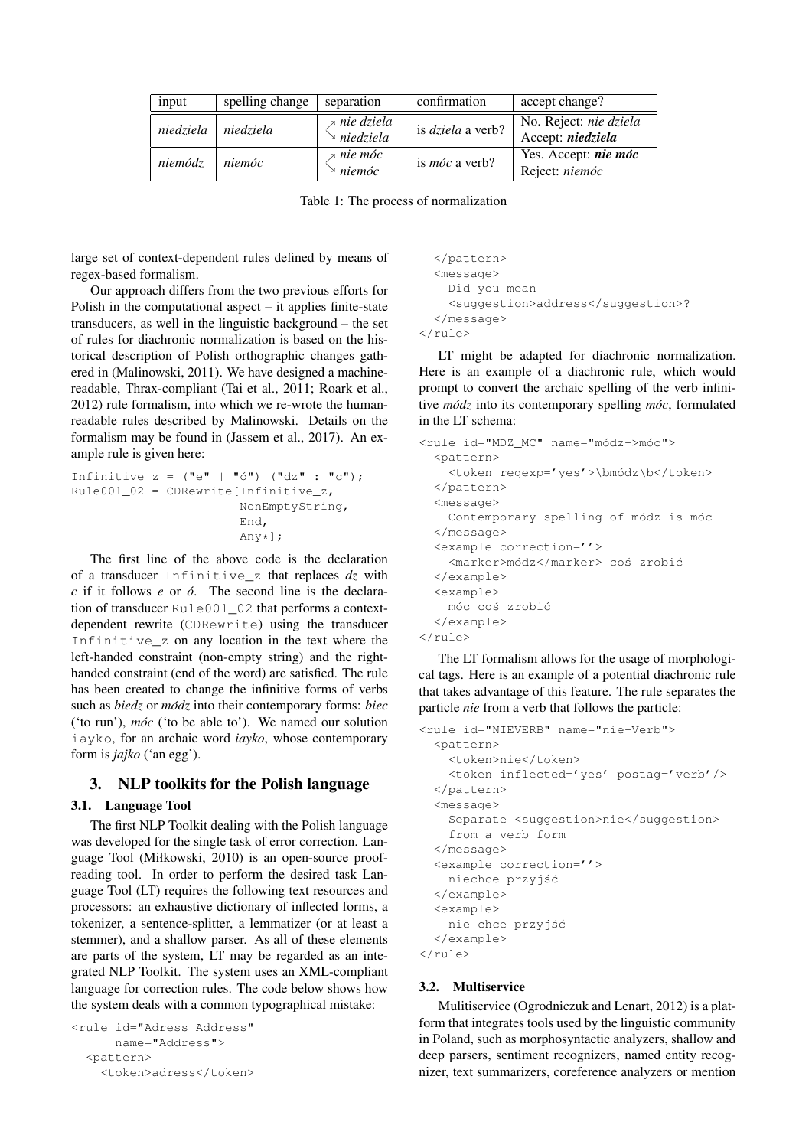| input     | spelling change | separation                                      | confirmation             | accept change?                                |
|-----------|-----------------|-------------------------------------------------|--------------------------|-----------------------------------------------|
| niedziela | niedziela       | <i>≯ nie dziela</i><br>$\rightarrow$ niedziela  | is <i>dziela</i> a verb? | No. Reject: nie dziela<br>Accept: niedziela   |
| niemódz   | niemóc          | <i><b>x</b></i> nie móc<br>$\rightarrow$ niemóc | is <i>móc</i> a verb?    | Yes. Accept: <i>nie móc</i><br>Reject: niemóc |

Table 1: The process of normalization

large set of context-dependent rules defined by means of regex-based formalism.

Our approach differs from the two previous efforts for Polish in the computational aspect – it applies finite-state transducers, as well in the linguistic background – the set of rules for diachronic normalization is based on the historical description of Polish orthographic changes gathered in (Malinowski, 2011). We have designed a machinereadable, Thrax-compliant (Tai et al., 2011; Roark et al., 2012) rule formalism, into which we re-wrote the humanreadable rules described by Malinowski. Details on the formalism may be found in (Jassem et al., 2017). An example rule is given here:

```
Infinitive_z = ("e" | "ó") ("dz" : "c");
Rule001_02 = CDRewrite[Infinitive_z,NonEmptyString,
                        End,
                        Any\star];
```
The first line of the above code is the declaration of a transducer Infinitive\_z that replaces *dz* with *c* if it follows *e* or *o´*. The second line is the declaration of transducer Rule001\_02 that performs a contextdependent rewrite (CDRewrite) using the transducer Infinitive\_z on any location in the text where the left-handed constraint (non-empty string) and the righthanded constraint (end of the word) are satisfied. The rule has been created to change the infinitive forms of verbs such as *biedz* or *modz ´* into their contemporary forms: *biec* ('to run'), *móc* ('to be able to'). We named our solution iayko, for an archaic word *iayko*, whose contemporary form is *jajko* ('an egg').

### 3. NLP toolkits for the Polish language

### 3.1. Language Tool

The first NLP Toolkit dealing with the Polish language was developed for the single task of error correction. Language Tool (Miłkowski, 2010) is an open-source proofreading tool. In order to perform the desired task Language Tool (LT) requires the following text resources and processors: an exhaustive dictionary of inflected forms, a tokenizer, a sentence-splitter, a lemmatizer (or at least a stemmer), and a shallow parser. As all of these elements are parts of the system, LT may be regarded as an integrated NLP Toolkit. The system uses an XML-compliant language for correction rules. The code below shows how the system deals with a common typographical mistake:

```
<rule id="Adress_Address"
      name="Address">
  \langlenattern\rangle<token>adress</token>
```

```
</pattern>
  <message>
   Did you mean
   <suggestion>address</suggestion>?
  </message>
</rule>
```
LT might be adapted for diachronic normalization. Here is an example of a diachronic rule, which would prompt to convert the archaic spelling of the verb infinitive *módz* into its contemporary spelling *móc*, formulated in the LT schema:

```
<rule id="MDZ_MC" name="módz->móc">
 <pattern>
   <token regexp='yes'>\bmódz\b</token>
  </pattern>
  <message>
   Contemporary spelling of módz is móc
  </message>
  <example correction=''>
    <marker>módz</marker> coś zrobić
 </example>
  <example>
   móc coś zrobić
  </example>
\langle/rule>
```
The LT formalism allows for the usage of morphological tags. Here is an example of a potential diachronic rule that takes advantage of this feature. The rule separates the particle *nie* from a verb that follows the particle:

```
<rule id="NIEVERB" name="nie+Verb">
  <pattern>
    <token>nie</token>
    <token inflected='yes' postag='verb'/>
 </pattern>
  <message>
    Separate <suggestion>nie</suggestion>
    from a verb form
  </message>
  <example correction=''>
    niechce przyjść
 </example>
  <example>
    nie chce przyjść
 </example>
\langle/rule>
```
# 3.2. Multiservice

Mulitiservice (Ogrodniczuk and Lenart, 2012) is a platform that integrates tools used by the linguistic community in Poland, such as morphosyntactic analyzers, shallow and deep parsers, sentiment recognizers, named entity recognizer, text summarizers, coreference analyzers or mention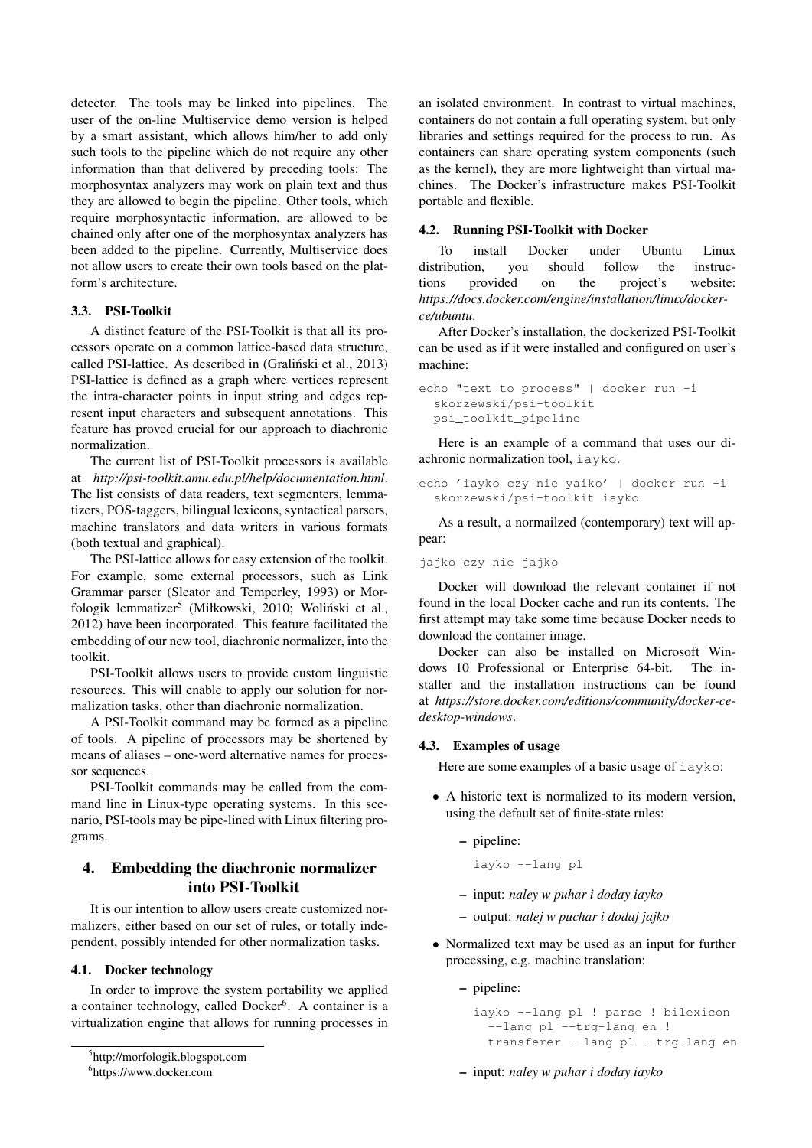detector. The tools may be linked into pipelines. The user of the on-line Multiservice demo version is helped by a smart assistant, which allows him/her to add only such tools to the pipeline which do not require any other information than that delivered by preceding tools: The morphosyntax analyzers may work on plain text and thus they are allowed to begin the pipeline. Other tools, which require morphosyntactic information, are allowed to be chained only after one of the morphosyntax analyzers has been added to the pipeline. Currently, Multiservice does not allow users to create their own tools based on the platform's architecture.

### 3.3. PSI-Toolkit

A distinct feature of the PSI-Toolkit is that all its processors operate on a common lattice-based data structure, called PSI-lattice. As described in (Graliński et al., 2013) PSI-lattice is defined as a graph where vertices represent the intra-character points in input string and edges represent input characters and subsequent annotations. This feature has proved crucial for our approach to diachronic normalization.

The current list of PSI-Toolkit processors is available at *http://psi-toolkit.amu.edu.pl/help/documentation.html*. The list consists of data readers, text segmenters, lemmatizers, POS-taggers, bilingual lexicons, syntactical parsers, machine translators and data writers in various formats (both textual and graphical).

The PSI-lattice allows for easy extension of the toolkit. For example, some external processors, such as Link Grammar parser (Sleator and Temperley, 1993) or Morfologik lemmatizer<sup>5</sup> (Miłkowski, 2010; Woliński et al., 2012) have been incorporated. This feature facilitated the embedding of our new tool, diachronic normalizer, into the toolkit.

PSI-Toolkit allows users to provide custom linguistic resources. This will enable to apply our solution for normalization tasks, other than diachronic normalization.

A PSI-Toolkit command may be formed as a pipeline of tools. A pipeline of processors may be shortened by means of aliases – one-word alternative names for processor sequences.

PSI-Toolkit commands may be called from the command line in Linux-type operating systems. In this scenario, PSI-tools may be pipe-lined with Linux filtering programs.

## 4. Embedding the diachronic normalizer into PSI-Toolkit

It is our intention to allow users create customized normalizers, either based on our set of rules, or totally independent, possibly intended for other normalization tasks.

#### 4.1. Docker technology

In order to improve the system portability we applied a container technology, called Docker<sup>6</sup>. A container is a virtualization engine that allows for running processes in an isolated environment. In contrast to virtual machines, containers do not contain a full operating system, but only libraries and settings required for the process to run. As containers can share operating system components (such as the kernel), they are more lightweight than virtual machines. The Docker's infrastructure makes PSI-Toolkit portable and flexible.

### 4.2. Running PSI-Toolkit with Docker

To install Docker under Ubuntu Linux distribution, you should follow the instructions provided on the project's website: *https://docs.docker.com/engine/installation/linux/dockerce/ubuntu*.

After Docker's installation, the dockerized PSI-Toolkit can be used as if it were installed and configured on user's machine:

```
echo "text to process" | docker run -i
 skorzewski/psi-toolkit
 psi_toolkit_pipeline
```
Here is an example of a command that uses our diachronic normalization tool, iayko.

```
echo 'iayko czy nie yaiko' | docker run -i
 skorzewski/psi-toolkit iayko
```
As a result, a normailzed (contemporary) text will appear:

```
jajko czy nie jajko
```
Docker will download the relevant container if not found in the local Docker cache and run its contents. The first attempt may take some time because Docker needs to download the container image.

Docker can also be installed on Microsoft Windows 10 Professional or Enterprise 64-bit. The installer and the installation instructions can be found at *https://store.docker.com/editions/community/docker-cedesktop-windows*.

### 4.3. Examples of usage

Here are some examples of a basic usage of  $i$ ayko:

- A historic text is normalized to its modern version, using the default set of finite-state rules:
	- pipeline:
		- iayko --lang pl
	- input: *naley w puhar i doday iayko*
	- output: *nalej w puchar i dodaj jajko*
- Normalized text may be used as an input for further processing, e.g. machine translation:

– pipeline:

```
iayko --lang pl ! parse ! bilexicon
  --lang pl --trg-lang en !
 transferer --lang pl --trg-lang en
```
– input: *naley w puhar i doday iayko*

<sup>5</sup> http://morfologik.blogspot.com

<sup>6</sup> https://www.docker.com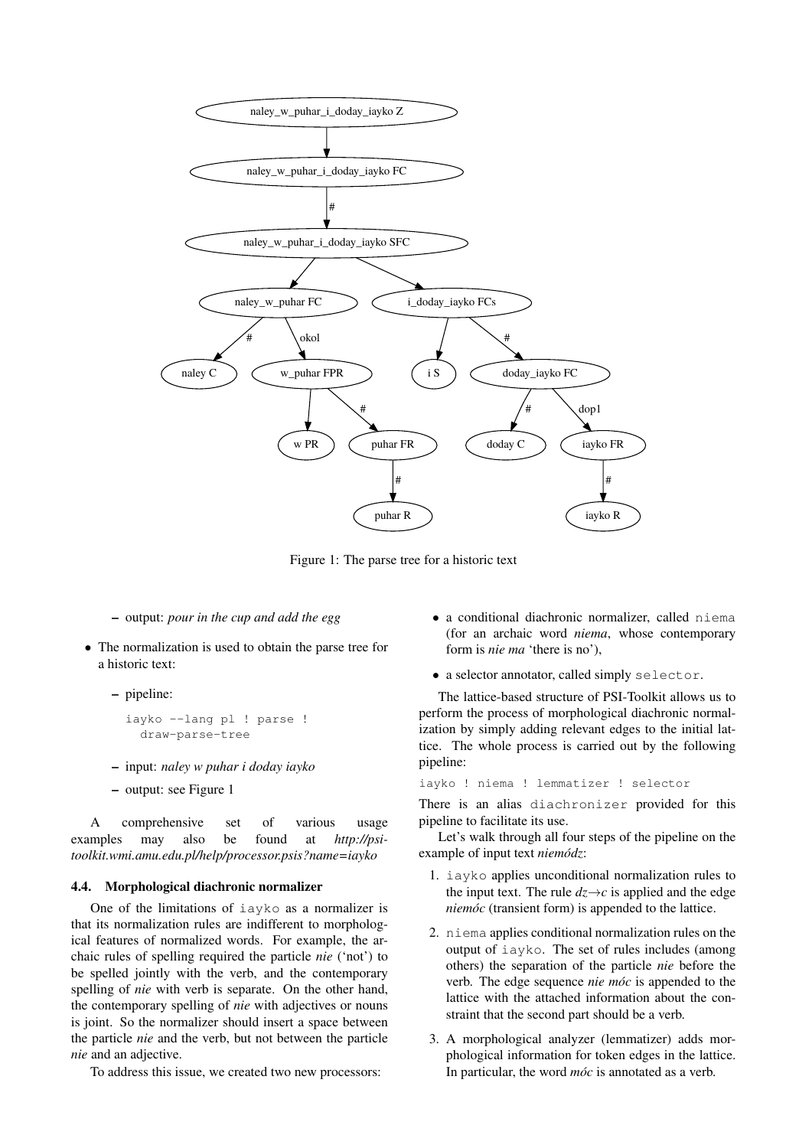

Figure 1: The parse tree for a historic text

- output: *pour in the cup and add the egg*
- The normalization is used to obtain the parse tree for a historic text:
	- pipeline:

```
iayko --lang pl ! parse !
 draw-parse-tree
```
- input: *naley w puhar i doday iayko*
- output: see Figure 1

A comprehensive set of various usage examples may also be found at *http://psitoolkit.wmi.amu.edu.pl/help/processor.psis?name=iayko*

#### 4.4. Morphological diachronic normalizer

One of the limitations of iayko as a normalizer is that its normalization rules are indifferent to morphological features of normalized words. For example, the archaic rules of spelling required the particle *nie* ('not') to be spelled jointly with the verb, and the contemporary spelling of *nie* with verb is separate. On the other hand, the contemporary spelling of *nie* with adjectives or nouns is joint. So the normalizer should insert a space between the particle *nie* and the verb, but not between the particle *nie* and an adjective.

To address this issue, we created two new processors:

- a conditional diachronic normalizer, called niema (for an archaic word *niema*, whose contemporary form is *nie ma* 'there is no'),
- a selector annotator, called simply selector.

The lattice-based structure of PSI-Toolkit allows us to perform the process of morphological diachronic normalization by simply adding relevant edges to the initial lattice. The whole process is carried out by the following pipeline:

iayko ! niema ! lemmatizer ! selector

There is an alias diachronizer provided for this pipeline to facilitate its use.

Let's walk through all four steps of the pipeline on the example of input text *niemódz*:

- 1. iayko applies unconditional normalization rules to the input text. The rule  $dz \rightarrow c$  is applied and the edge *niemóc* (transient form) is appended to the lattice.
- 2. niema applies conditional normalization rules on the output of iayko. The set of rules includes (among others) the separation of the particle *nie* before the verb. The edge sequence *nie moc´* is appended to the lattice with the attached information about the constraint that the second part should be a verb.
- 3. A morphological analyzer (lemmatizer) adds morphological information for token edges in the lattice. In particular, the word *móc* is annotated as a verb.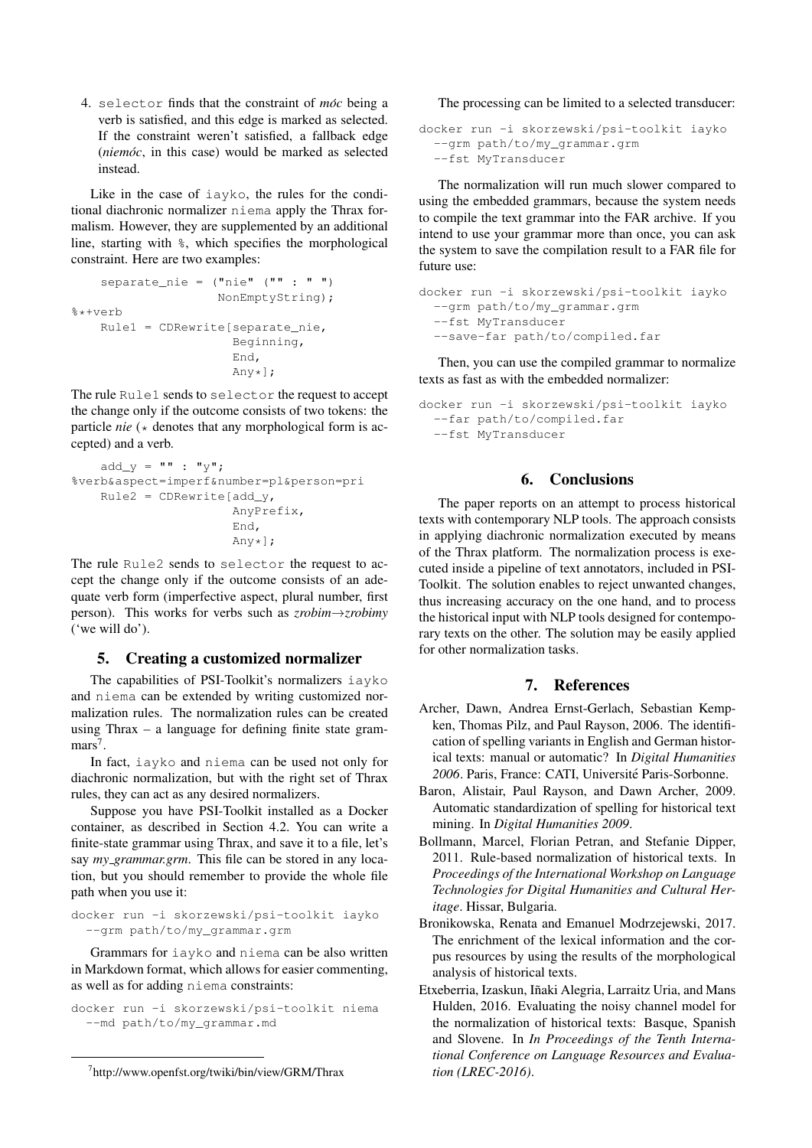4. selector finds that the constraint of *moc* being a verb is satisfied, and this edge is marked as selected. If the constraint weren't satisfied, a fallback edge (*niemoc*, in this case) would be marked as selected instead.

Like in the case of iayko, the rules for the conditional diachronic normalizer niema apply the Thrax formalism. However, they are supplemented by an additional line, starting with %, which specifies the morphological constraint. Here are two examples:

```
separate_nie = ("nie" ("" : " ")
                    NonEmptyString);
%*+verb
    Rule1 = CDRewrite[separate_nie,
                      Beginning,
                       End,
                      Any*];
```
The rule Rule1 sends to selector the request to accept the change only if the outcome consists of two tokens: the particle *nie* ( $\star$  denotes that any morphological form is accepted) and a verb.

```
add_y = " " " : "y";
%verb&aspect=imperf&number=pl&person=pri
    Rule2 = CDRewrite[add_y,AnyPrefix,
                       End,
                       Any*];
```
The rule Rule2 sends to selector the request to accept the change only if the outcome consists of an adequate verb form (imperfective aspect, plural number, first person). This works for verbs such as *zrobim*→*zrobimy* ('we will do').

#### 5. Creating a customized normalizer

The capabilities of PSI-Toolkit's normalizers iayko and niema can be extended by writing customized normalization rules. The normalization rules can be created using Thrax – a language for defining finite state grammars<sup>7</sup>.

In fact, iayko and niema can be used not only for diachronic normalization, but with the right set of Thrax rules, they can act as any desired normalizers.

Suppose you have PSI-Toolkit installed as a Docker container, as described in Section 4.2. You can write a finite-state grammar using Thrax, and save it to a file, let's say *my grammar.grm*. This file can be stored in any location, but you should remember to provide the whole file path when you use it:

```
docker run -i skorzewski/psi-toolkit iayko
  --grm path/to/my_grammar.grm
```
Grammars for iayko and niema can be also written in Markdown format, which allows for easier commenting, as well as for adding niema constraints:

docker run -i skorzewski/psi-toolkit niema --md path/to/my\_grammar.md

The processing can be limited to a selected transducer:

```
docker run -i skorzewski/psi-toolkit iayko
  --grm path/to/my_grammar.grm
  --fst MyTransducer
```
The normalization will run much slower compared to using the embedded grammars, because the system needs to compile the text grammar into the FAR archive. If you intend to use your grammar more than once, you can ask the system to save the compilation result to a FAR file for future use:

```
docker run -i skorzewski/psi-toolkit iayko
  --grm path/to/my_grammar.grm
  --fst MyTransducer
  --save-far path/to/compiled.far
```
Then, you can use the compiled grammar to normalize texts as fast as with the embedded normalizer:

```
docker run -i skorzewski/psi-toolkit iayko
  --far path/to/compiled.far
  --fst MyTransducer
```
### 6. Conclusions

The paper reports on an attempt to process historical texts with contemporary NLP tools. The approach consists in applying diachronic normalization executed by means of the Thrax platform. The normalization process is executed inside a pipeline of text annotators, included in PSI-Toolkit. The solution enables to reject unwanted changes, thus increasing accuracy on the one hand, and to process the historical input with NLP tools designed for contemporary texts on the other. The solution may be easily applied for other normalization tasks.

### 7. References

- Archer, Dawn, Andrea Ernst-Gerlach, Sebastian Kempken, Thomas Pilz, and Paul Rayson, 2006. The identification of spelling variants in English and German historical texts: manual or automatic? In *Digital Humanities* 2006. Paris, France: CATI, Université Paris-Sorbonne.
- Baron, Alistair, Paul Rayson, and Dawn Archer, 2009. Automatic standardization of spelling for historical text mining. In *Digital Humanities 2009*.
- Bollmann, Marcel, Florian Petran, and Stefanie Dipper, 2011. Rule-based normalization of historical texts. In *Proceedings of the International Workshop on Language Technologies for Digital Humanities and Cultural Heritage*. Hissar, Bulgaria.
- Bronikowska, Renata and Emanuel Modrzejewski, 2017. The enrichment of the lexical information and the corpus resources by using the results of the morphological analysis of historical texts.
- Etxeberria, Izaskun, Iñaki Alegria, Larraitz Uria, and Mans Hulden, 2016. Evaluating the noisy channel model for the normalization of historical texts: Basque, Spanish and Slovene. In *In Proceedings of the Tenth International Conference on Language Resources and Evaluation (LREC-2016)*.

<sup>7</sup> http://www.openfst.org/twiki/bin/view/GRM/Thrax